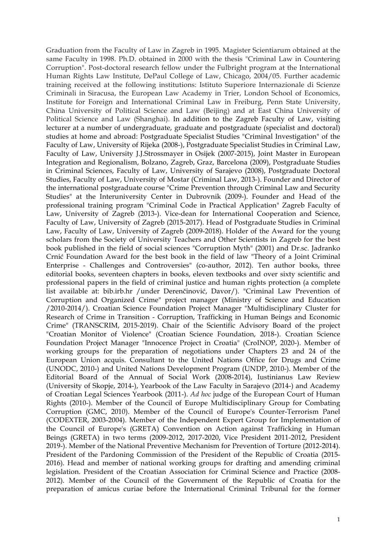Graduation from the Faculty of Law in Zagreb in 1995. Magister Scientiarum obtained at the same Faculty in 1998. Ph.D. obtained in 2000 with the thesis "Criminal Law in Countering Corruption". Post-doctoral research fellow under the Fulbright program at the International Human Rights Law Institute, DePaul College of Law, Chicago, 2004/05. Further academic training received at the following institutions: Istituto Superiore Internazionale di Scienze Criminali in Siracusa, the European Law Academy in Trier, London School of Economics, Institute for Foreign and International Criminal Law in Freiburg, Penn State University, China University of Political Science and Law (Beijing) and at East China University of Political Science and Law (Shanghai). In addition to the Zagreb Faculty of Law, visiting lecturer at a number of undergraduate, graduate and postgraduate (specialist and doctoral) studies at home and abroad: Postgraduate Specialist Studies "Criminal Investigation" of the Faculty of Law, University of Rijeka (2008-), Postgraduate Specialist Studies in Criminal Law, Faculty of Law, University J.J.Strossmayer in Osijek (2007-2015), Joint Master in European Integration and Regionalism, Bolzano, Zagreb, Graz, Barcelona (2009), Postgraduate Studies in Criminal Sciences, Faculty of Law, University of Sarajevo (2008), Postgraduate Doctoral Studies, Faculty of Law, University of Mostar (Criminal Law, 2013-). Founder and Director of the international postgraduate course "Crime Prevention through Criminal Law and Security Studies" at the Interuniversity Center in Dubrovnik (2009-). Founder and Head of the professional training program "Criminal Code in Practical Application" Zagreb Faculty of Law, University of Zagreb (2013-). Vice-dean for International Cooperation and Science, Faculty of Law, University of Zagreb (2015-2017). Head of Postgraduate Studies in Criminal Law, Faculty of Law, University of Zagreb (2009-2018). Holder of the Award for the young scholars from the Society of University Teachers and Other Scientists in Zagreb for the best book published in the field of social sciences "Corruption Myth" (2001) and Dr.sc. Jadranko Crnić Foundation Award for the best book in the field of law "Theory of a Joint Criminal Enterprise - Challenges and Controversies" (co-author, 2012). Ten author books, three editorial books, seventeen chapters in books, eleven textbooks and over sixty scientific and professional papers in the field of criminal justice and human rights protection (a complete list available at: bib.irb.hr /under Derenčinović, Davor/). "Criminal Law Prevention of Corruption and Organized Crime" project manager (Ministry of Science and Education /2010-2014/). Croatian Science Foundation Project Manager "Multidisciplinary Cluster for Research of Crime in Transition - Corruption, Trafficking in Human Beings and Economic Crime" (TRANSCRIM, 2015-2019). Chair of the Scientific Advisory Board of the project "Croatian Monitor of Violence" (Croatian Science Foundation, 2018-). Croatian Science Foundation Project Manager "Innocence Project in Croatia" (CroINOP, 2020-). Member of working groups for the preparation of negotiations under Chapters 23 and 24 of the European Union acquis. Consultant to the United Nations Office for Drugs and Crime (UNODC, 2010-) and United Nations Development Program (UNDP, 2010-). Member of the Editorial Board of the Annual of Social Work (2008-2014), Iustinianus Law Review (University of Skopje, 2014-), Yearbook of the Law Faculty in Sarajevo (2014-) and Academy of Croatian Legal Sciences Yearbook (2011-). *Ad hoc* judge of the European Court of Human Rights (2010-). Member of the Council of Europe Multidisciplinary Group for Combating Corruption (GMC, 2010). Member of the Council of Europe's Counter-Terrorism Panel (CODEXTER, 2003-2004). Member of the Independent Expert Group for Implementation of the Council of Europe's (GRETA) Convention on Action against Trafficking in Human Beings (GRETA) in two terms (2009-2012, 2017-2020, Vice President 2011-2012, President 2019-). Member of the National Preventive Mechanism for Prevention of Torture (2012-2014). President of the Pardoning Commission of the President of the Republic of Croatia (2015- 2016). Head and member of national working groups for drafting and amending criminal legislation. President of the Croatian Association for Criminal Science and Practice (2008- 2012). Member of the Council of the Government of the Republic of Croatia for the preparation of amicus curiae before the International Criminal Tribunal for the former